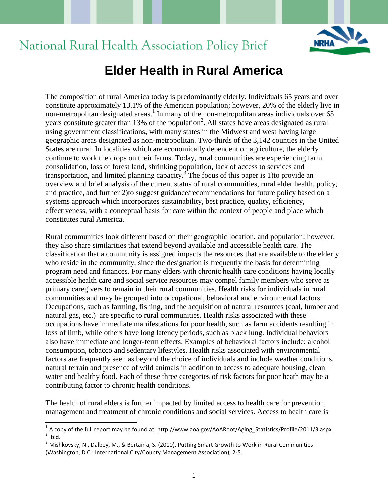

## National Rural Health Association Policy Brief

## **Elder Health in Rural America**

The composition of rural America today is predominantly elderly. Individuals 65 years and over constitute approximately 13.1% of the American population; however, 20% of the elderly live in non-metropolitan designated areas.<sup>1</sup> In many of the non-metropolitan areas individuals over 65 years constitute greater than 13% of the population<sup>2</sup>. All states have areas designated as rural using government classifications, with many states in the Midwest and west having large geographic areas designated as non-metropolitan. Two-thirds of the 3,142 counties in the United States are rural. In localities which are economically dependent on agriculture, the elderly continue to work the crops on their farms. Today, rural communities are experiencing farm consolidation, loss of forest land, shrinking population, lack of access to services and transportation, and limited planning capacity.<sup>3</sup> The focus of this paper is 1) to provide an overview and brief analysis of the current status of rural communities, rural elder health, policy, and practice, and further 2)to suggest guidance/recommendations for future policy based on a systems approach which incorporates sustainability, best practice, quality, efficiency, effectiveness, with a conceptual basis for care within the context of people and place which constitutes rural America.

Rural communities look different based on their geographic location, and population; however, they also share similarities that extend beyond available and accessible health care. The classification that a community is assigned impacts the resources that are available to the elderly who reside in the community, since the designation is frequently the basis for determining program need and finances. For many elders with chronic health care conditions having locally accessible health care and social service resources may compel family members who serve as primary caregivers to remain in their rural communities. Health risks for individuals in rural communities and may be grouped into occupational, behavioral and environmental factors. Occupations, such as farming, fishing, and the acquisition of natural resources (coal, lumber and natural gas, etc.) are specific to rural communities. Health risks associated with these occupations have immediate manifestations for poor health, such as farm accidents resulting in loss of limb, while others have long latency periods, such as black lung. Individual behaviors also have immediate and longer-term effects. Examples of behavioral factors include: alcohol consumption, tobacco and sedentary lifestyles. Health risks associated with environmental factors are frequently seen as beyond the choice of individuals and include weather conditions, natural terrain and presence of wild animals in addition to access to adequate housing, clean water and healthy food. Each of these three categories of risk factors for poor heath may be a contributing factor to chronic health conditions.

The health of rural elders is further impacted by limited access to health care for prevention, management and treatment of chronic conditions and social services. Access to health care is

 1 A copy of the full report may be found at: http://www.aoa.gov/AoARoot/Aging\_Statistics/Profile/2011/3.aspx.  $2$  Ibid.

<sup>&</sup>lt;sup>3</sup> Mishkovsky, N., Dalbey, M., & Bertaina, S. (2010). Putting Smart Growth to Work in Rural Communities (Washington, D.C.: International City/County Management Association), 2-5.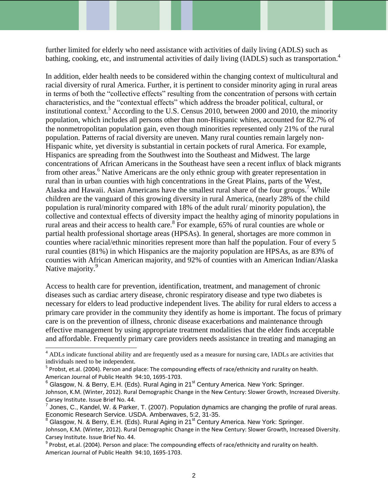further limited for elderly who need assistance with activities of daily living (ADLS) such as bathing, cooking, etc, and instrumental activities of daily living (IADLS) such as transportation.<sup>4</sup>

In addition, elder health needs to be considered within the changing context of multicultural and racial diversity of rural America. Further, it is pertinent to consider minority aging in rural areas in terms of both the "collective effects" resulting from the concentration of persons with certain characteristics, and the "contextual effects" which address the broader political, cultural, or institutional context.<sup>5</sup> According to the U.S. Census 2010, between 2000 and 2010, the minority population, which includes all persons other than non-Hispanic whites, accounted for 82.7% of the nonmetropolitan population gain, even though minorities represented only 21% of the rural population. Patterns of racial diversity are uneven. Many rural counties remain largely non-Hispanic white, yet diversity is substantial in certain pockets of rural America. For example, Hispanics are spreading from the Southwest into the Southeast and Midwest. The large concentrations of African Americans in the Southeast have seen a recent influx of black migrants from other areas.<sup>6</sup> Native Americans are the only ethnic group with greater representation in rural than in urban counties with high concentrations in the Great Plains, parts of the West, Alaska and Hawaii. Asian Americans have the smallest rural share of the four groups.<sup>7</sup> While children are the vanguard of this growing diversity in rural America, (nearly 28% of the child population is rural/minority compared with 18% of the adult rural/ minority population), the collective and contextual effects of diversity impact the healthy aging of minority populations in rural areas and their access to health care.<sup>8</sup> For example,  $65\%$  of rural counties are whole or partial health professional shortage areas (HPSAs). In general, shortages are more common in counties where racial/ethnic minorities represent more than half the population. Four of every 5 rural counties (81%) in which Hispanics are the majority population are HPSAs, as are 83% of counties with African American majority, and 92% of counties with an American Indian/Alaska Native majority.<sup>9</sup>

Access to health care for prevention, identification, treatment, and management of chronic diseases such as cardiac artery disease, chronic respiratory disease and type two diabetes is necessary for elders to lead productive independent lives. The ability for rural elders to access a primary care provider in the community they identify as home is important. The focus of primary care is on the prevention of illness, chronic disease exacerbations and maintenance through effective management by using appropriate treatment modalities that the elder finds acceptable and affordable. Frequently primary care providers needs assistance in treating and managing an

 $6$  Glasgow, N. & Berry, E.H. (Eds). Rural Aging in 21 $^{\text{st}}$  Century America. New York: Springer.

<sup>&</sup>lt;sup>4</sup> ADLs indicate functional ability and are frequently used as a measure for nursing care, IADLs are activities that individuals need to be independent.

<sup>&</sup>lt;sup>5</sup> Probst, et.al. (2004). Person and place: The compounding effects of race/ethnicity and rurality on health. American Journal of Public Health 94:10, 1695-1703.

Johnson, K.M. (Winter, 2012). Rural Demographic Change in the New Century: Slower Growth, Increased Diversity. Carsey Institute. Issue Brief No. 44.

 $^7$  Jones, C., Kandel, W. & Parker, T. (2007). Population dynamics are changing the profile of rural areas. Economic Research Service. USDA. Amberwaves, 5:2, 31-35.

Glasgow, N. & Berry, E.H. (Eds). Rural Aging in  $21^{st}$  Century America. New York: Springer. Johnson, K.M. (Winter, 2012). Rural Demographic Change in the New Century: Slower Growth, Increased Diversity. Carsey Institute. Issue Brief No. 44.

 $^9$  Probst, et.al. (2004). Person and place: The compounding effects of race/ethnicity and rurality on health. American Journal of Public Health 94:10, 1695-1703.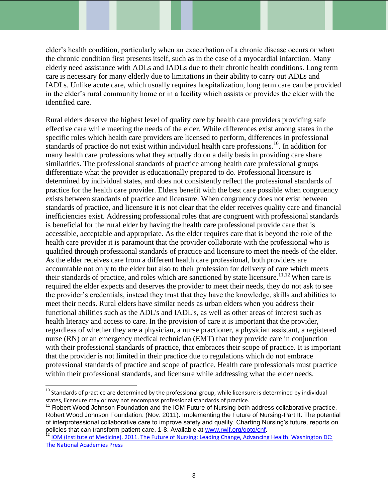elder's health condition, particularly when an exacerbation of a chronic disease occurs or when the chronic condition first presents itself, such as in the case of a myocardial infarction. Many elderly need assistance with ADLs and IADLs due to their chronic health conditions. Long term care is necessary for many elderly due to limitations in their ability to carry out ADLs and IADLs. Unlike acute care, which usually requires hospitalization, long term care can be provided in the elder's rural community home or in a facility which assists or provides the elder with the identified care.

Rural elders deserve the highest level of quality care by health care providers providing safe effective care while meeting the needs of the elder. While differences exist among states in the specific roles which health care providers are licensed to perform, differences in professional standards of practice do not exist within individual health care professions.<sup>10</sup>. In addition for many health care professions what they actually do on a daily basis in providing care share similarities. The professional standards of practice among health care professional groups differentiate what the provider is educationally prepared to do. Professional licensure is determined by individual states, and does not consistently reflect the professional standards of practice for the health care provider. Elders benefit with the best care possible when congruency exists between standards of practice and licensure. When congruency does not exist between standards of practice, and licensure it is not clear that the elder receives quality care and financial inefficiencies exist. Addressing professional roles that are congruent with professional standards is beneficial for the rural elder by having the health care professional provide care that is accessible, acceptable and appropriate. As the elder requires care that is beyond the role of the health care provider it is paramount that the provider collaborate with the professional who is qualified through professional standards of practice and licensure to meet the needs of the elder. As the elder receives care from a different health care professional, both providers are accountable not only to the elder but also to their profession for delivery of care which meets their standards of practice, and roles which are sanctioned by state licensure.<sup>11,12</sup> When care is required the elder expects and deserves the provider to meet their needs, they do not ask to see the provider's credentials, instead they trust that they have the knowledge, skills and abilities to meet their needs. Rural elders have similar needs as urban elders when you address their functional abilities such as the ADL's and IADL's, as well as other areas of interest such as health literacy and access to care. In the provision of care it is important that the provider, regardless of whether they are a physician, a nurse practioner, a physician assistant, a registered nurse (RN) or an emergency medical technician (EMT) that they provide care in conjunction with their professional standards of practice, that embraces their scope of practice. It is important that the provider is not limited in their practice due to regulations which do not embrace professional standards of practice and scope of practice. Health care professionals must practice within their professional standards, and licensure while addressing what the elder needs.

 $^{10}$  Standards of practice are determined by the professional group, while licensure is determined by individual states, licensure may or may not encompass professional standards of practice.

<sup>&</sup>lt;sup>11</sup> Robert Wood Johnson Foundation and the IOM Future of Nursing both address collaborative practice. Robert Wood Johnson Foundation. (Nov. 2011). Implementing the Future of Nursing-Part II: The potential of interprofessional collaborative care to improve safety and quality. Charting Nursing's future, reports on policies that can transform patient care. 1-8. Available at [www.rwjf.org/goto/cnf.](http://www.rwjf.org/goto/cnf)

<sup>12</sup> IOM (Institute of Medicine). 2011. The Future of Nursing: Leading Change, Advancing Health. Washington DC: The National Academies Press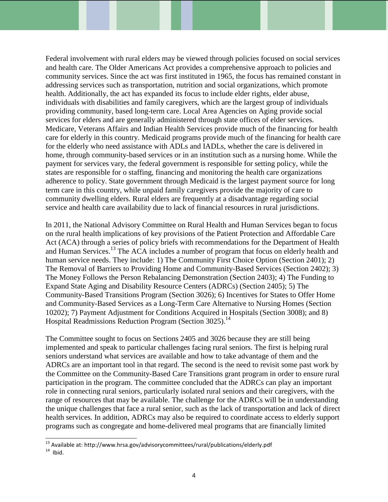Federal involvement with rural elders may be viewed through policies focused on social services and health care. The Older Americans Act provides a comprehensive approach to policies and community services. Since the act was first instituted in 1965, the focus has remained constant in addressing services such as transportation, nutrition and social organizations, which promote health. Additionally, the act has expanded its focus to include elder rights, elder abuse, individuals with disabilities and family caregivers, which are the largest group of individuals providing community, based long-term care. Local Area Agencies on Aging provide social services for elders and are generally administered through state offices of elder services. Medicare, Veterans Affairs and Indian Health Services provide much of the financing for health care for elderly in this country. Medicaid programs provide much of the financing for health care for the elderly who need assistance with ADLs and IADLs, whether the care is delivered in home, through community-based services or in an institution such as a nursing home. While the payment for services vary, the federal government is responsible for setting policy, while the states are responsible for o staffing, financing and monitoring the health care organizations adherence to policy. State government through Medicaid is the largest payment source for long term care in this country, while unpaid family caregivers provide the majority of care to community dwelling elders. Rural elders are frequently at a disadvantage regarding social service and health care availability due to lack of financial resources in rural jurisdictions.

In 2011, the National Advisory Committee on Rural Health and Human Services began to focus on the rural health implications of key provisions of the Patient Protection and Affordable Care Act (ACA) through a series of policy briefs with recommendations for the Department of Health and Human Services.<sup>13</sup> The ACA includes a number of program that focus on elderly health and human service needs. They include: 1) The Community First Choice Option (Section 2401); 2) The Removal of Barriers to Providing Home and Community-Based Services (Section 2402); 3) The Money Follows the Person Rebalancing Demonstration (Section 2403); 4) The Funding to Expand State Aging and Disability Resource Centers (ADRCs) (Section 2405); 5) The Community-Based Transitions Program (Section 3026); 6) Incentives for States to Offer Home and Community-Based Services as a Long-Term Care Alternative to Nursing Homes (Section 10202); 7) Payment Adjustment for Conditions Acquired in Hospitals (Section 3008); and 8) Hospital Readmissions Reduction Program (Section 3025).<sup>14</sup>

The Committee sought to focus on Sections 2405 and 3026 because they are still being implemented and speak to particular challenges facing rural seniors. The first is helping rural seniors understand what services are available and how to take advantage of them and the ADRCs are an important tool in that regard. The second is the need to revisit some past work by the Committee on the Community-Based Care Transitions grant program in order to ensure rural participation in the program. The committee concluded that the ADRCs can play an important role in connecting rural seniors, particularly isolated rural seniors and their caregivers, with the range of resources that may be available. The challenge for the ADRCs will be in understanding the unique challenges that face a rural senior, such as the lack of transportation and lack of direct health services. In addition, ADRCs may also be required to coordinate access to elderly support programs such as congregate and home-delivered meal programs that are financially limited

 $^{13}$  Available at: http://www.hrsa.gov/advisorycommittees/rural/publications/elderly.pdf  $14$  Ibid.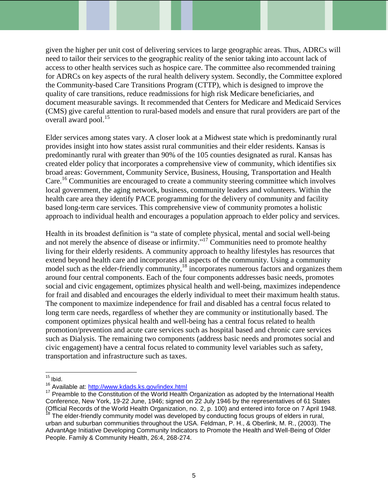given the higher per unit cost of delivering services to large geographic areas. Thus, ADRCs will need to tailor their services to the geographic reality of the senior taking into account lack of access to other health services such as hospice care. The committee also recommended training for ADRCs on key aspects of the rural health delivery system. Secondly, the Committee explored the Community-based Care Transitions Program (CTTP), which is designed to improve the quality of care transitions, reduce readmissions for high risk Medicare beneficiaries, and document measurable savings. It recommended that Centers for Medicare and Medicaid Services (CMS) give careful attention to rural-based models and ensure that rural providers are part of the overall award pool. 15

Elder services among states vary. A closer look at a Midwest state which is predominantly rural provides insight into how states assist rural communities and their elder residents. Kansas is predominantly rural with greater than 90% of the 105 counties designated as rural. Kansas has created elder policy that incorporates a comprehensive view of community, which identifies six broad areas: Government, Community Service, Business, Housing, Transportation and Health Care. <sup>16</sup> Communities are encouraged to create a community steering committee which involves local government, the aging network, business, community leaders and volunteers. Within the health care area they identify PACE programming for the delivery of community and facility based long-term care services. This comprehensive view of community promotes a holistic approach to individual health and encourages a population approach to elder policy and services.

Health in its broadest definition is "a state of complete physical, mental and social well-being and not merely the absence of disease or infirmity. $17 \text{ Communities}$  need to promote healthy living for their elderly residents. A community approach to healthy lifestyles has resources that extend beyond health care and incorporates all aspects of the community. Using a community model such as the elder-friendly community,<sup>18</sup> incorporates numerous factors and organizes them around four central components. Each of the four components addresses basic needs, promotes social and civic engagement, optimizes physical health and well-being, maximizes independence for frail and disabled and encourages the elderly individual to meet their maximum health status. The component to maximize independence for frail and disabled has a central focus related to long term care needs, regardless of whether they are community or institutionally based. The component optimizes physical health and well-being has a central focus related to health promotion/prevention and acute care services such as hospital based and chronic care services such as Dialysis. The remaining two components (address basic needs and promotes social and civic engagement) have a central focus related to community level variables such as safety, transportation and infrastructure such as taxes.

l  $15$  Ibid.

<sup>&</sup>lt;sup>16</sup> Available at:<http://www.kdads.ks.gov/index.html>

 $17$  Preamble to the Constitution of the World Health Organization as adopted by the International Health Conference, New York, 19-22 June, 1946; signed on 22 July 1946 by the representatives of 61 States (Official Records of the World Health Organization, no. 2, p. 100) and entered into force on 7 April 1948.  $18$  The elder-friendly community model was developed by conducting focus groups of elders in rural, urban and suburban communities throughout the USA. Feldman, P. H., & Oberlink, M. R., (2003). The AdvantAge Initiative Developing Community Indicators to Promote the Health and Well-Being of Older People. Family & Community Health, 26:4, 268-274.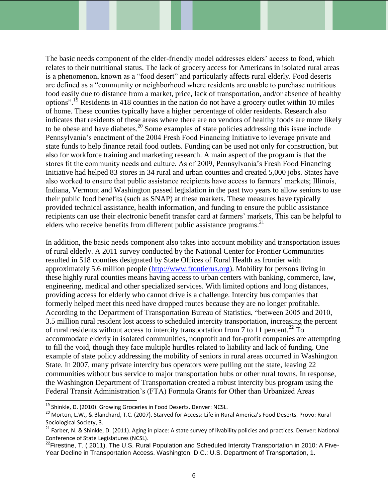The basic needs component of the elder-friendly model addresses elders' access to food, which relates to their nutritional status. The lack of grocery access for Americans in isolated rural areas is a phenomenon, known as a "food desert" and particularly affects rural elderly. Food deserts are defined as a "community or neighborhood where residents are unable to purchase nutritious food easily due to distance from a market, price, lack of transportation, and/or absence of healthy options".<sup>19</sup> Residents in 418 counties in the nation do not have a grocery outlet within 10 miles of home. These counties typically have a higher percentage of older residents. Research also indicates that residents of these areas where there are no vendors of healthy foods are more likely to be obese and have diabetes.<sup>20</sup> Some examples of state policies addressing this issue include Pennsylvania's enactment of the 2004 Fresh Food Financing Initiative to leverage private and state funds to help finance retail food outlets. Funding can be used not only for construction, but also for workforce training and marketing research. A main aspect of the program is that the stores fit the community needs and culture. As of 2009, Pennsylvania's Fresh Food Financing Initiative had helped 83 stores in 34 rural and urban counties and created 5,000 jobs. States have also worked to ensure that public assistance recipients have access to farmers' markets; Illinois, Indiana, Vermont and Washington passed legislation in the past two years to allow seniors to use their public food benefits (such as SNAP) at these markets. These measures have typically provided technical assistance, health information, and funding to ensure the public assistance recipients can use their electronic benefit transfer card at farmers' markets, This can be helpful to elders who receive benefits from different public assistance programs.<sup>21</sup>

In addition, the basic needs component also takes into account mobility and transportation issues of rural elderly. A 2011 survey conducted by the National Center for Frontier Communities resulted in 518 counties designated by State Offices of Rural Health as frontier with approximately 5.6 million people [\(http://www.frontierus.org\)](http://www.frontierus.org/). Mobility for persons living in these highly rural counties means having access to urban centers with banking, commerce, law, engineering, medical and other specialized services. With limited options and long distances, providing access for elderly who cannot drive is a challenge. Intercity bus companies that formerly helped meet this need have dropped routes because they are no longer profitable. According to the Department of Transportation Bureau of Statistics, "between 2005 and 2010, 3.5 million rural resident lost access to scheduled intercity transportation, increasing the percent of rural residents without access to intercity transportation from  $\frac{7}{10}$  to 11 percent.<sup>22</sup> To accommodate elderly in isolated communities, nonprofit and for-profit companies are attempting to fill the void, though they face multiple hurdles related to liability and lack of funding. One example of state policy addressing the mobility of seniors in rural areas occurred in Washington State. In 2007, many private intercity bus operators were pulling out the state, leaving 22 communities without bus service to major transportation hubs or other rural towns. In response, the Washington Department of Transportation created a robust intercity bus program using the Federal Transit Administration's (FTA) Formula Grants for Other than Urbanized Areas

 $^{19}$  Shinkle, D. (2010). Growing Groceries in Food Deserts. Denver: NCSL.

<sup>&</sup>lt;sup>20</sup> Morton, L.W., & Blanchard, T.C. (2007). Starved for Access: Life in Rural America's Food Deserts. Provo: Rural Sociological Society, 3.

<sup>&</sup>lt;sup>21</sup> Farber, N. & Shinkle, D. (2011). Aging in place: A state survey of livability policies and practices. Denver: National Conference of State Legislatures (NCSL).

<sup>&</sup>lt;sup>22</sup>Firestine, T. ( 2011). The U.S. Rural Population and Scheduled Intercity Transportation in 2010: A Five-Year Decline in Transportation Access. Washington, D.C.: U.S. Department of Transportation, 1.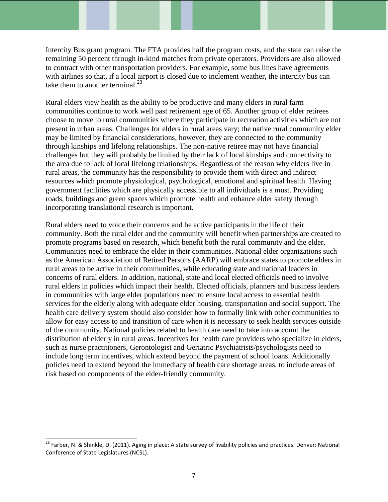Intercity Bus grant program. The FTA provides half the program costs, and the state can raise the remaining 50 percent through in-kind matches from private operators. Providers are also allowed to contract with other transportation providers. For example, some bus lines have agreements with airlines so that, if a local airport is closed due to inclement weather, the intercity bus can take them to another terminal.<sup>23</sup>

Rural elders view health as the ability to be productive and many elders in rural farm communities continue to work well past retirement age of 65. Another group of elder retirees choose to move to rural communities where they participate in recreation activities which are not present in urban areas. Challenges for elders in rural areas vary; the native rural community elder may be limited by financial considerations, however, they are connected to the community through kinships and lifelong relationships. The non-native retiree may not have financial challenges but they will probably be limited by their lack of local kinships and connectivity to the area due to lack of local lifelong relationships. Regardless of the reason why elders live in rural areas, the community has the responsibility to provide them with direct and indirect resources which promote physiological, psychological, emotional and spiritual health. Having government facilities which are physically accessible to all individuals is a must. Providing roads, buildings and green spaces which promote health and enhance elder safety through incorporating translational research is important.

Rural elders need to voice their concerns and be active participants in the life of their community. Both the rural elder and the community will benefit when partnerships are created to promote programs based on research, which benefit both the rural community and the elder. Communities need to embrace the elder in their communities. National elder organizations such as the American Association of Retired Persons (AARP) will embrace states to promote elders in rural areas to be active in their communities, while educating state and national leaders in concerns of rural elders. In addition, national, state and local elected officials need to involve rural elders in policies which impact their health. Elected officials, planners and business leaders in communities with large elder populations need to ensure local access to essential health services for the elderly along with adequate elder housing, transportation and social support. The health care delivery system should also consider how to formally link with other communities to allow for easy access to and transition of care when it is necessary to seek health services outside of the community. National policies related to health care need to take into account the distribution of elderly in rural areas. Incentives for health care providers who specialize in elders, such as nurse practitioners, Gerontologist and Geriatric Psychiatrists/psychologists need to include long term incentives, which extend beyond the payment of school loans. Additionally policies need to extend beyond the immediacy of health care shortage areas, to include areas of risk based on components of the elder-friendly community.

<sup>&</sup>lt;sup>23</sup> Farber, N. & Shinkle, D. (2011). Aging in place: A state survey of livability policies and practices. Denver: National Conference of State Legislatures (NCSL).